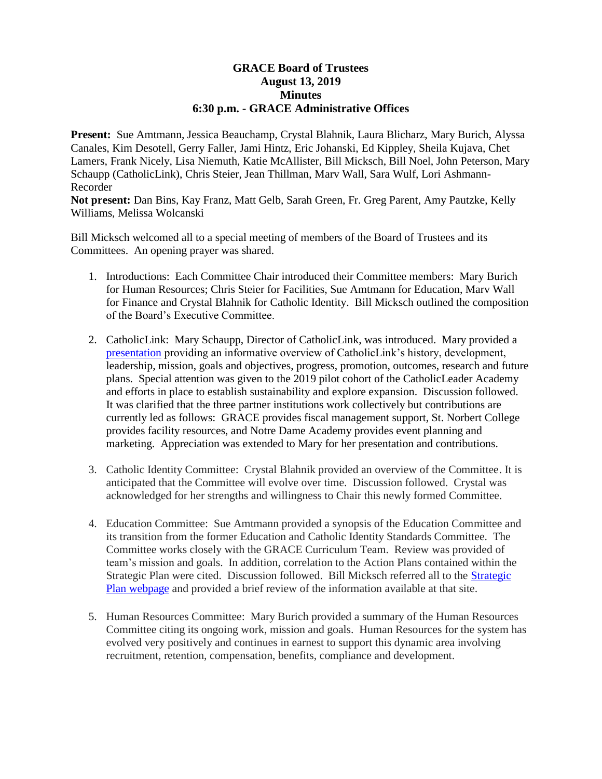## **GRACE Board of Trustees August 13, 2019 Minutes 6:30 p.m. - GRACE Administrative Offices**

**Present:** Sue Amtmann, Jessica Beauchamp, Crystal Blahnik, Laura Blicharz, Mary Burich, Alyssa Canales, Kim Desotell, Gerry Faller, Jami Hintz, Eric Johanski, Ed Kippley, Sheila Kujava, Chet Lamers, Frank Nicely, Lisa Niemuth, Katie McAllister, Bill Micksch, Bill Noel, John Peterson, Mary Schaupp (CatholicLink), Chris Steier, Jean Thillman, Marv Wall, Sara Wulf, Lori Ashmann-Recorder

**Not present:** Dan Bins, Kay Franz, Matt Gelb, Sarah Green, Fr. Greg Parent, Amy Pautzke, Kelly Williams, Melissa Wolcanski

Bill Micksch welcomed all to a special meeting of members of the Board of Trustees and its Committees. An opening prayer was shared.

- 1. Introductions: Each Committee Chair introduced their Committee members: Mary Burich for Human Resources; Chris Steier for Facilities, Sue Amtmann for Education, Marv Wall for Finance and Crystal Blahnik for Catholic Identity. Bill Micksch outlined the composition of the Board's Executive Committee.
- 2. CatholicLink: Mary Schaupp, Director of CatholicLink, was introduced. Mary provided a [presentation](https://docs.google.com/presentation/d/1fU5ijO8qddPV6mPvabkNXBK4vokGURvFaF7w1EcNAxE/edit#slide=id.g5dce811481_1_28) providing an informative overview of CatholicLink's history, development, leadership, mission, goals and objectives, progress, promotion, outcomes, research and future plans. Special attention was given to the 2019 pilot cohort of the CatholicLeader Academy and efforts in place to establish sustainability and explore expansion. Discussion followed. It was clarified that the three partner institutions work collectively but contributions are currently led as follows: GRACE provides fiscal management support, St. Norbert College provides facility resources, and Notre Dame Academy provides event planning and marketing. Appreciation was extended to Mary for her presentation and contributions.
- 3. Catholic Identity Committee: Crystal Blahnik provided an overview of the Committee. It is anticipated that the Committee will evolve over time. Discussion followed. Crystal was acknowledged for her strengths and willingness to Chair this newly formed Committee.
- 4. Education Committee: Sue Amtmann provided a synopsis of the Education Committee and its transition from the former Education and Catholic Identity Standards Committee. The Committee works closely with the GRACE Curriculum Team. Review was provided of team's mission and goals. In addition, correlation to the Action Plans contained within the Strategic Plan were cited. Discussion followed. Bill Micksch referred all to the [Strategic](https://gracesystem.org/strategic-plan-2018-2021/)  [Plan webpage](https://gracesystem.org/strategic-plan-2018-2021/) and provided a brief review of the information available at that site.
- 5. Human Resources Committee: Mary Burich provided a summary of the Human Resources Committee citing its ongoing work, mission and goals. Human Resources for the system has evolved very positively and continues in earnest to support this dynamic area involving recruitment, retention, compensation, benefits, compliance and development.